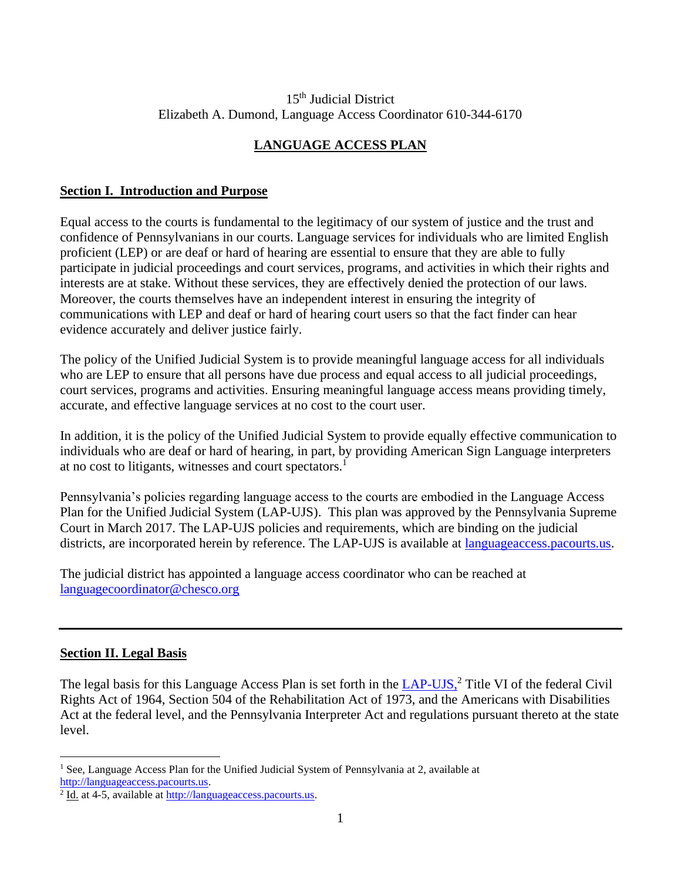### 15<sup>th</sup> Judicial District Elizabeth A. Dumond, Language Access Coordinator 610-344-6170

# **LANGUAGE ACCESS PLAN**

# **Section I. Introduction and Purpose**

Equal access to the courts is fundamental to the legitimacy of our system of justice and the trust and confidence of Pennsylvanians in our courts. Language services for individuals who are limited English proficient (LEP) or are deaf or hard of hearing are essential to ensure that they are able to fully participate in judicial proceedings and court services, programs, and activities in which their rights and interests are at stake. Without these services, they are effectively denied the protection of our laws. Moreover, the courts themselves have an independent interest in ensuring the integrity of communications with LEP and deaf or hard of hearing court users so that the fact finder can hear evidence accurately and deliver justice fairly.

The policy of the Unified Judicial System is to provide meaningful language access for all individuals who are LEP to ensure that all persons have due process and equal access to all judicial proceedings, court services, programs and activities. Ensuring meaningful language access means providing timely, accurate, and effective language services at no cost to the court user.

In addition, it is the policy of the Unified Judicial System to provide equally effective communication to individuals who are deaf or hard of hearing, in part, by providing American Sign Language interpreters at no cost to litigants, witnesses and court spectators.<sup>1</sup>

Pennsylvania's policies regarding language access to the courts are embodied in the Language Access Plan for the Unified Judicial System (LAP-UJS). This plan was approved by the Pennsylvania Supreme Court in March 2017. The LAP-UJS policies and requirements, which are binding on the judicial districts, are incorporated herein by reference. The LAP-UJS is available at [languageaccess.pacourts.us.](http://www.pacourts.us/judicial-administration/court-programs/interpreter-program)

The judicial district has appointed a language access coordinator who can be reached at [languagecoordinator@chesco.org](mailto:languagecoordinator@chesco.org)

## **Section II. Legal Basis**

The legal basis for this Language Access Plan is set forth in the [LAP-UJS,](http://www.pacourts.us/assets/files/setting-5486/file-5972.pdf?cb=11e5cd)<sup>2</sup> Title VI of the federal Civil Rights Act of 1964, Section 504 of the Rehabilitation Act of 1973, and the Americans with Disabilities Act at the federal level, and the Pennsylvania Interpreter Act and regulations pursuant thereto at the state level.

<sup>&</sup>lt;sup>1</sup> See, Language Access Plan for the Unified Judicial System of Pennsylvania at 2, available at [http://languageaccess.pacourts.us.](http://languageaccess.pacourts.us/)

 $2 \underline{\text{Id}}$ . at 4-5, available at [http://languageaccess.pacourts.us.](http://languageaccess.pacourts.us/)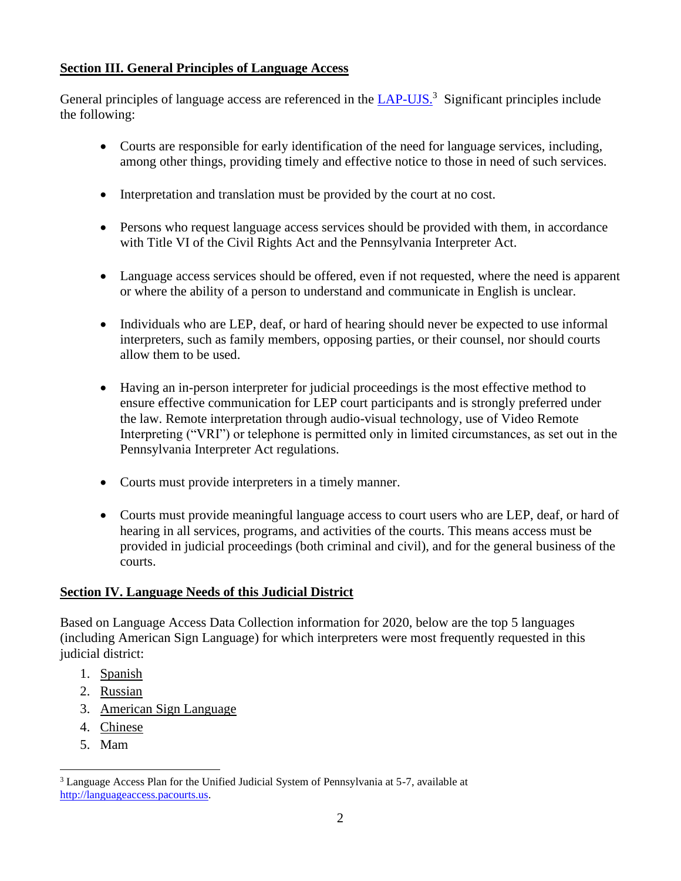# **Section III. General Principles of Language Access**

General principles of language access are referenced in the **LAP-UJS**.<sup>3</sup> Significant principles include the following:

- Courts are responsible for early identification of the need for language services, including, among other things, providing timely and effective notice to those in need of such services.
- Interpretation and translation must be provided by the court at no cost.
- Persons who request language access services should be provided with them, in accordance with Title VI of the Civil Rights Act and the Pennsylvania Interpreter Act.
- Language access services should be offered, even if not requested, where the need is apparent or where the ability of a person to understand and communicate in English is unclear.
- Individuals who are LEP, deaf, or hard of hearing should never be expected to use informal interpreters, such as family members, opposing parties, or their counsel, nor should courts allow them to be used.
- Having an in-person interpreter for judicial proceedings is the most effective method to ensure effective communication for LEP court participants and is strongly preferred under the law. Remote interpretation through audio-visual technology, use of Video Remote Interpreting ("VRI") or telephone is permitted only in limited circumstances, as set out in the Pennsylvania Interpreter Act regulations.
- Courts must provide interpreters in a timely manner.
- Courts must provide meaningful language access to court users who are LEP, deaf, or hard of hearing in all services, programs, and activities of the courts. This means access must be provided in judicial proceedings (both criminal and civil), and for the general business of the courts.

## **Section IV. Language Needs of this Judicial District**

Based on Language Access Data Collection information for 2020, below are the top 5 languages (including American Sign Language) for which interpreters were most frequently requested in this judicial district:

- 1. Spanish
- 2. Russian
- 3. American Sign Language
- 4. Chinese
- 5. Mam

<sup>3</sup> Language Access Plan for the Unified Judicial System of Pennsylvania at 5-7, available at [http://languageaccess.pacourts.us.](http://languageaccess.pacourts.us/)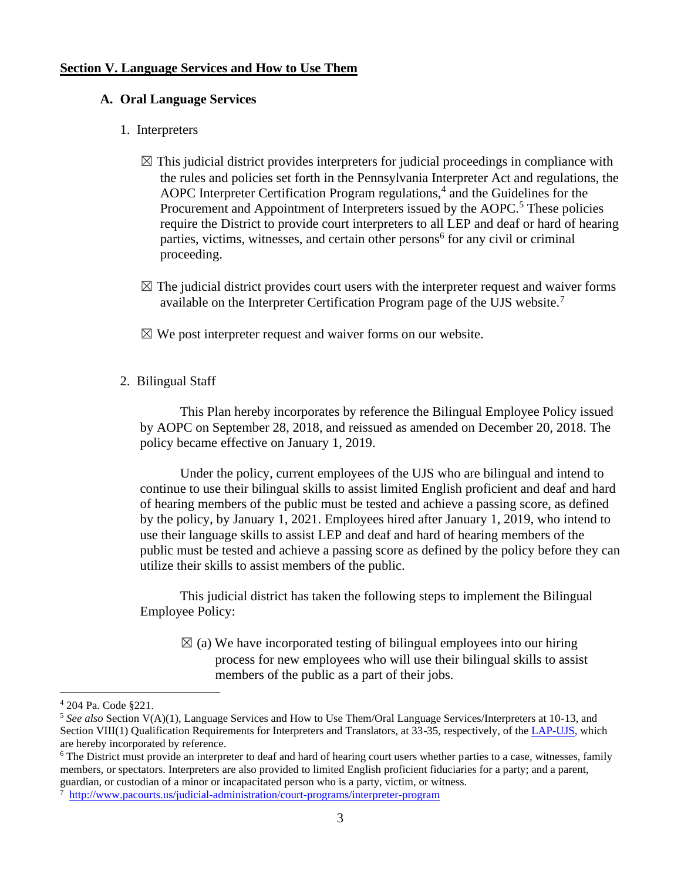#### **Section V. Language Services and How to Use Them**

#### **A. Oral Language Services**

#### 1. Interpreters

- $\boxtimes$  This judicial district provides interpreters for judicial proceedings in compliance with the rules and policies set forth in the Pennsylvania Interpreter Act and regulations, the AOPC Interpreter Certification Program regulations, $<sup>4</sup>$  and the Guidelines for the</sup> Procurement and Appointment of Interpreters issued by the AOPC.<sup>5</sup> These policies require the District to provide court interpreters to all LEP and deaf or hard of hearing parties, victims, witnesses, and certain other persons<sup>6</sup> for any civil or criminal proceeding.
- $\boxtimes$  The judicial district provides court users with the interpreter request and waiver forms available on the Interpreter Certification Program page of the UJS website.<sup>7</sup>
- $\boxtimes$  We post interpreter request and waiver forms on our website.
- 2. Bilingual Staff

This Plan hereby incorporates by reference the Bilingual Employee Policy issued by AOPC on September 28, 2018, and reissued as amended on December 20, 2018. The policy became effective on January 1, 2019.

Under the policy, current employees of the UJS who are bilingual and intend to continue to use their bilingual skills to assist limited English proficient and deaf and hard of hearing members of the public must be tested and achieve a passing score, as defined by the policy, by January 1, 2021. Employees hired after January 1, 2019, who intend to use their language skills to assist LEP and deaf and hard of hearing members of the public must be tested and achieve a passing score as defined by the policy before they can utilize their skills to assist members of the public.

This judicial district has taken the following steps to implement the Bilingual Employee Policy:

 $\boxtimes$  (a) We have incorporated testing of bilingual employees into our hiring process for new employees who will use their bilingual skills to assist members of the public as a part of their jobs.

<sup>4</sup> 204 Pa. Code §221.

<sup>5</sup> *See also* Section V(A)(1), Language Services and How to Use Them/Oral Language Services/Interpreters at 10-13, and Section VIII(1) Qualification Requirements for Interpreters and Translators, at 33-35, respectively, of th[e LAP-UJS,](http://www.pacourts.us/assets/files/setting-5486/file-5972.pdf?cb=11e5cd) which are hereby incorporated by reference.

<sup>&</sup>lt;sup>6</sup> The District must provide an interpreter to deaf and hard of hearing court users whether parties to a case, witnesses, family members, or spectators. Interpreters are also provided to limited English proficient fiduciaries for a party; and a parent, guardian, or custodian of a minor or incapacitated person who is a party, victim, or witness.

<sup>7</sup> <http://www.pacourts.us/judicial-administration/court-programs/interpreter-program>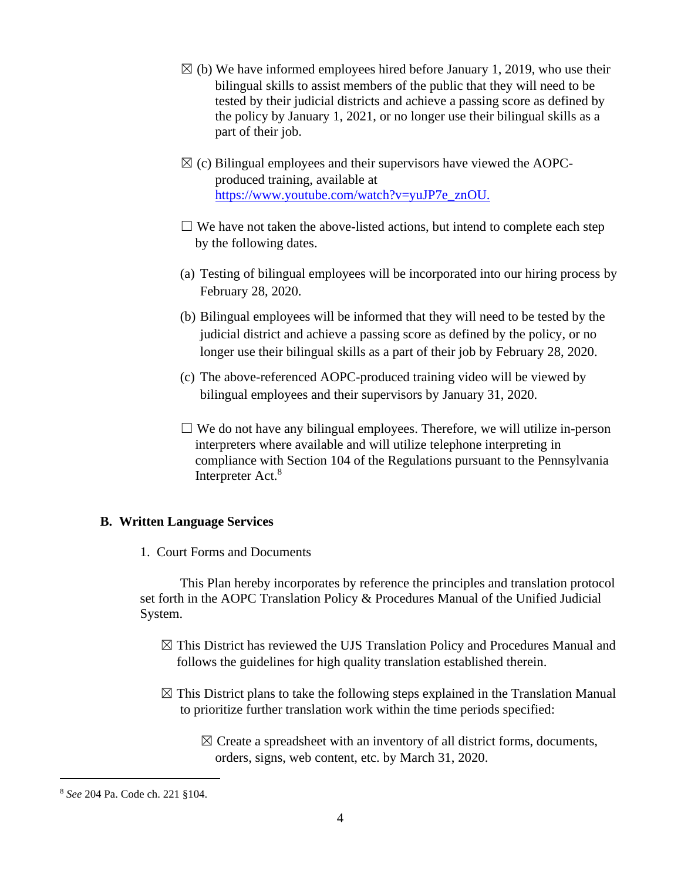- $\boxtimes$  (b) We have informed employees hired before January 1, 2019, who use their bilingual skills to assist members of the public that they will need to be tested by their judicial districts and achieve a passing score as defined by the policy by January 1, 2021, or no longer use their bilingual skills as a part of their job.
- $\boxtimes$  (c) Bilingual employees and their supervisors have viewed the AOPCproduced training, available at [https://www.youtube.com/watch?v=yuJP7e\\_znOU.](https://www.youtube.com/watch?v=yuJP7e_znOU)
- $\Box$  We have not taken the above-listed actions, but intend to complete each step by the following dates.
- (a) Testing of bilingual employees will be incorporated into our hiring process by February 28, 2020.
- (b) Bilingual employees will be informed that they will need to be tested by the judicial district and achieve a passing score as defined by the policy, or no longer use their bilingual skills as a part of their job by February 28, 2020.
- (c) The above-referenced AOPC-produced training video will be viewed by bilingual employees and their supervisors by January 31, 2020.
- $\Box$  We do not have any bilingual employees. Therefore, we will utilize in-person interpreters where available and will utilize telephone interpreting in compliance with Section 104 of the Regulations pursuant to the Pennsylvania Interpreter Act.<sup>8</sup>

### **B. Written Language Services**

1. Court Forms and Documents

This Plan hereby incorporates by reference the principles and translation protocol set forth in the AOPC Translation Policy & Procedures Manual of the Unified Judicial System.

- $\boxtimes$  This District has reviewed the UJS Translation Policy and Procedures Manual and follows the guidelines for high quality translation established therein.
- $\boxtimes$  This District plans to take the following steps explained in the Translation Manual to prioritize further translation work within the time periods specified:
	- $\boxtimes$  Create a spreadsheet with an inventory of all district forms, documents, orders, signs, web content, etc. by March 31, 2020.

<sup>8</sup> *See* 204 Pa. Code ch. 221 §104.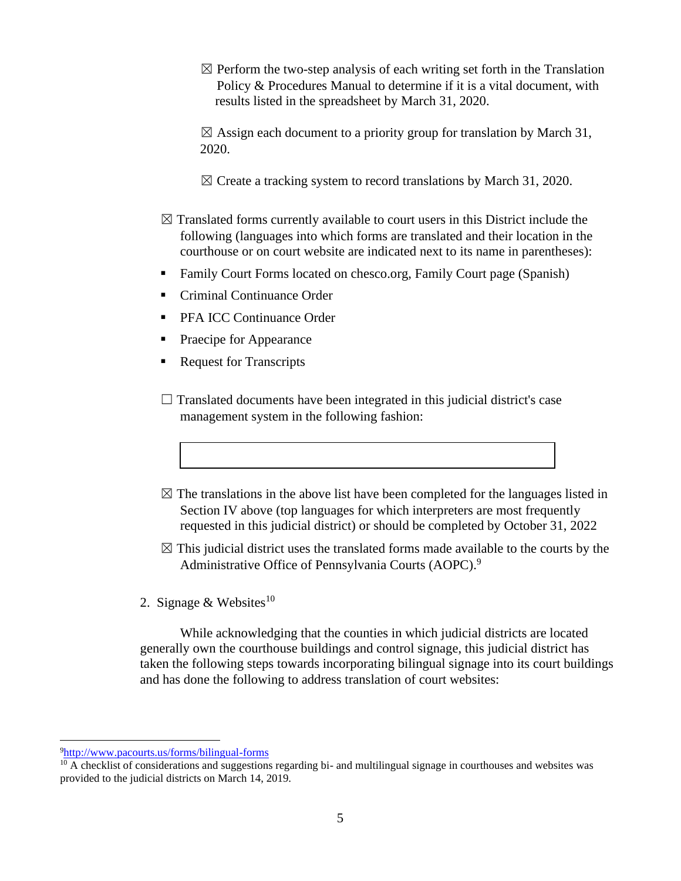$\boxtimes$  Perform the two-step analysis of each writing set forth in the Translation Policy & Procedures Manual to determine if it is a vital document, with results listed in the spreadsheet by March 31, 2020.

 $\boxtimes$  Assign each document to a priority group for translation by March 31, 2020.

- $\boxtimes$  Create a tracking system to record translations by March 31, 2020.
- $\boxtimes$  Translated forms currently available to court users in this District include the following (languages into which forms are translated and their location in the courthouse or on court website are indicated next to its name in parentheses):
- Family Court Forms located on chesco.org, Family Court page (Spanish)
- Criminal Continuance Order
- PFA ICC Continuance Order
- Praecipe for Appearance
- **Request for Transcripts**
- $\Box$  Translated documents have been integrated in this judicial district's case management system in the following fashion:
- $\boxtimes$  The translations in the above list have been completed for the languages listed in Section IV above (top languages for which interpreters are most frequently requested in this judicial district) or should be completed by October 31, 2022
- $\boxtimes$  This judicial district uses the translated forms made available to the courts by the Administrative Office of Pennsylvania Courts (AOPC).<sup>9</sup>
- 2. Signage & Websites<sup>10</sup>

While acknowledging that the counties in which judicial districts are located generally own the courthouse buildings and control signage, this judicial district has taken the following steps towards incorporating bilingual signage into its court buildings and has done the following to address translation of court websites:

<sup>9</sup><http://www.pacourts.us/forms/bilingual-forms>

 $10$  A checklist of considerations and suggestions regarding bi- and multilingual signage in courthouses and websites was provided to the judicial districts on March 14, 2019.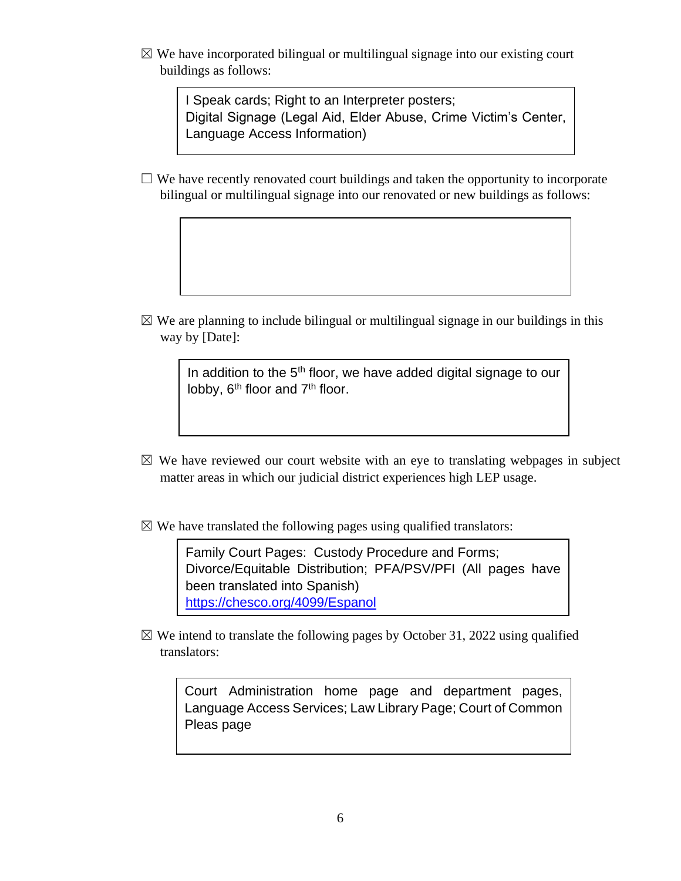$\boxtimes$  We have incorporated bilingual or multilingual signage into our existing court buildings as follows:

> I Speak cards; Right to an Interpreter posters; Digital Signage (Legal Aid, Elder Abuse, Crime Victim's Center, Language Access Information)

 $\Box$  We have recently renovated court buildings and taken the opportunity to incorporate bilingual or multilingual signage into our renovated or new buildings as follows:

 $\boxtimes$  We are planning to include bilingual or multilingual signage in our buildings in this way by [Date]:

> In addition to the  $5<sup>th</sup>$  floor, we have added digital signage to our lobby,  $6<sup>th</sup>$  floor and  $7<sup>th</sup>$  floor.

- $\boxtimes$  We have reviewed our court website with an eye to translating webpages in subject matter areas in which our judicial district experiences high LEP usage.
- $\boxtimes$  We have translated the following pages using qualified translators:

Family Court Pages: Custody Procedure and Forms; Divorce/Equitable Distribution; PFA/PSV/PFI (All pages have been translated into Spanish) <https://chesco.org/4099/Espanol>

 $\boxtimes$  We intend to translate the following pages by October 31, 2022 using qualified translators:

Court Administration home page and department pages, Language Access Services; Law Library Page; Court of Common Pleas page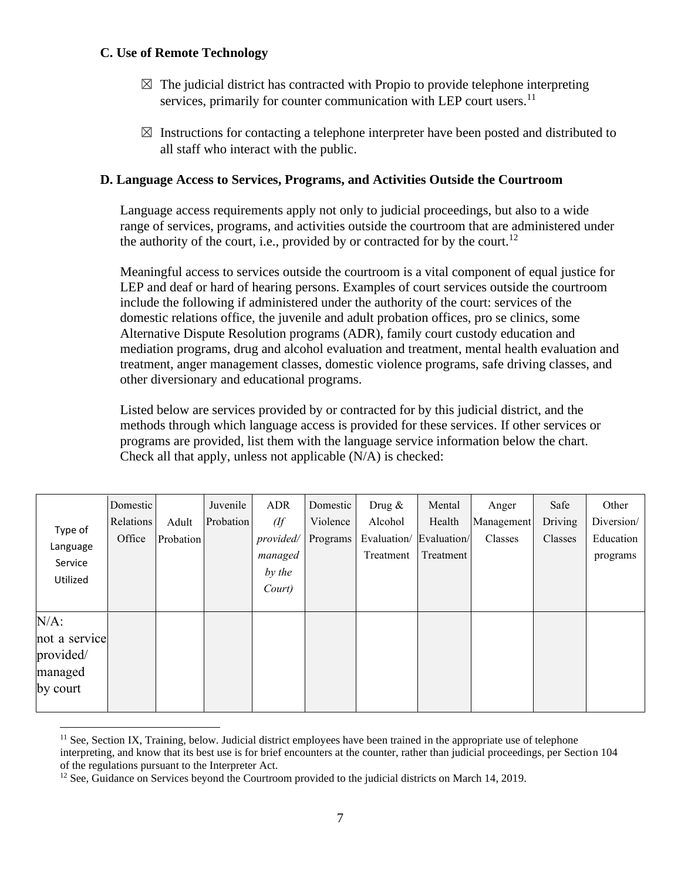### **C. Use of Remote Technology**

- $\boxtimes$  The judicial district has contracted with Propio to provide telephone interpreting services, primarily for counter communication with LEP court users.<sup>11</sup>
- $\boxtimes$  Instructions for contacting a telephone interpreter have been posted and distributed to all staff who interact with the public.

### **D. Language Access to Services, Programs, and Activities Outside the Courtroom**

Language access requirements apply not only to judicial proceedings, but also to a wide range of services, programs, and activities outside the courtroom that are administered under the authority of the court, i.e., provided by or contracted for by the court.<sup>12</sup>

Meaningful access to services outside the courtroom is a vital component of equal justice for LEP and deaf or hard of hearing persons. Examples of court services outside the courtroom include the following if administered under the authority of the court: services of the domestic relations office, the juvenile and adult probation offices, pro se clinics, some Alternative Dispute Resolution programs (ADR), family court custody education and mediation programs, drug and alcohol evaluation and treatment, mental health evaluation and treatment, anger management classes, domestic violence programs, safe driving classes, and other diversionary and educational programs.

Listed below are services provided by or contracted for by this judicial district, and the methods through which language access is provided for these services. If other services or programs are provided, list them with the language service information below the chart. Check all that apply, unless not applicable (N/A) is checked:

|                                            | Domestic  |           | Juvenile  | <b>ADR</b>           | Domestic | Drug $\&$                | Mental                   | Anger      | Safe    | Other                 |
|--------------------------------------------|-----------|-----------|-----------|----------------------|----------|--------------------------|--------------------------|------------|---------|-----------------------|
| Type of<br>Language<br>Service<br>Utilized | Relations | Adult     | Probation | (ff)                 | Violence | Alcohol                  | Health                   | Management | Driving | Diversion/            |
|                                            | Office    | Probation |           | provided/<br>managed | Programs | Evaluation/<br>Treatment | Evaluation/<br>Treatment | Classes    | Classes | Education<br>programs |
|                                            |           |           |           | by the               |          |                          |                          |            |         |                       |
|                                            |           |           |           | Court)               |          |                          |                          |            |         |                       |
| $N/A$ :                                    |           |           |           |                      |          |                          |                          |            |         |                       |
| not a service                              |           |           |           |                      |          |                          |                          |            |         |                       |
| provided/                                  |           |           |           |                      |          |                          |                          |            |         |                       |
| managed                                    |           |           |           |                      |          |                          |                          |            |         |                       |
| by court                                   |           |           |           |                      |          |                          |                          |            |         |                       |
|                                            |           |           |           |                      |          |                          |                          |            |         |                       |

 $<sup>11</sup>$  See, Section IX, Training, below. Judicial district employees have been trained in the appropriate use of telephone</sup> interpreting, and know that its best use is for brief encounters at the counter, rather than judicial proceedings, per Section 104 of the regulations pursuant to the Interpreter Act.

<sup>&</sup>lt;sup>12</sup> See, Guidance on Services beyond the Courtroom provided to the judicial districts on March 14, 2019.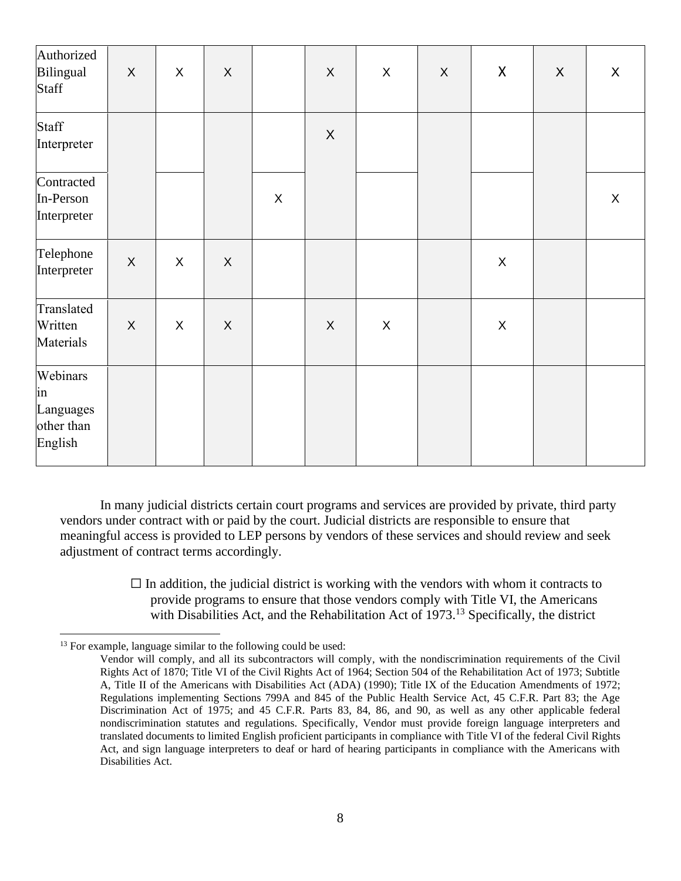| Authorized<br>Bilingual<br><b>Staff</b>              | $\mathsf X$  | $\mathsf{X}$   | $\mathsf X$               |             | X | $\mathsf{X}$ | $\sf X$ | $\pmb{\mathsf{X}}$ | $\boldsymbol{X}$ | $\mathsf{X}$ |
|------------------------------------------------------|--------------|----------------|---------------------------|-------------|---|--------------|---------|--------------------|------------------|--------------|
| Staff<br>Interpreter                                 |              |                |                           |             | X |              |         |                    |                  |              |
| Contracted<br>In-Person<br>Interpreter               |              |                |                           | $\mathsf X$ |   |              |         |                    |                  | $\mathsf{X}$ |
| Telephone<br>Interpreter                             | $\mathsf X$  | $\pmb{\times}$ | $\mathsf X$               |             |   |              |         | $\mathsf X$        |                  |              |
| Translated<br>Written<br>Materials                   | $\mathsf{X}$ | $\mathsf X$    | $\boldsymbol{\mathsf{X}}$ |             | X | $\mathsf{X}$ |         | $\pmb{\times}$     |                  |              |
| Webinars<br>in<br>Languages<br>other than<br>English |              |                |                           |             |   |              |         |                    |                  |              |

In many judicial districts certain court programs and services are provided by private, third party vendors under contract with or paid by the court. Judicial districts are responsible to ensure that meaningful access is provided to LEP persons by vendors of these services and should review and seek adjustment of contract terms accordingly.

> $\Box$  In addition, the judicial district is working with the vendors with whom it contracts to provide programs to ensure that those vendors comply with Title VI, the Americans with Disabilities Act, and the Rehabilitation Act of 1973.<sup>13</sup> Specifically, the district

<sup>&</sup>lt;sup>13</sup> For example, language similar to the following could be used:

Vendor will comply, and all its subcontractors will comply, with the nondiscrimination requirements of the Civil Rights Act of 1870; Title VI of the Civil Rights Act of 1964; Section 504 of the Rehabilitation Act of 1973; Subtitle A, Title II of the Americans with Disabilities Act (ADA) (1990); Title IX of the Education Amendments of 1972; Regulations implementing Sections 799A and 845 of the Public Health Service Act, 45 C.F.R. Part 83; the Age Discrimination Act of 1975; and 45 C.F.R. Parts 83, 84, 86, and 90, as well as any other applicable federal nondiscrimination statutes and regulations. Specifically, Vendor must provide foreign language interpreters and translated documents to limited English proficient participants in compliance with Title VI of the federal Civil Rights Act, and sign language interpreters to deaf or hard of hearing participants in compliance with the Americans with Disabilities Act.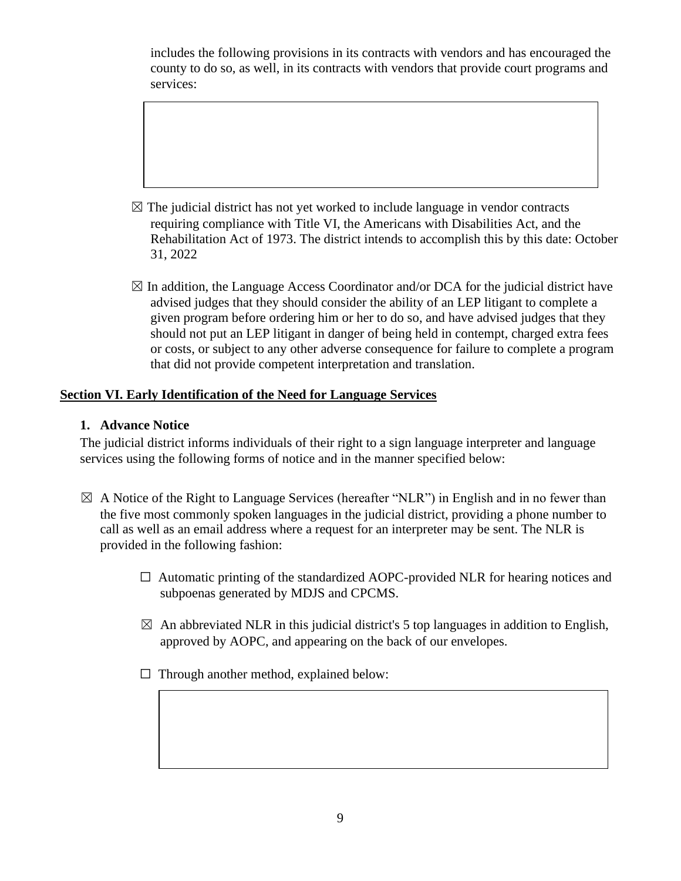includes the following provisions in its contracts with vendors and has encouraged the county to do so, as well, in its contracts with vendors that provide court programs and services:

- $\boxtimes$  The judicial district has not yet worked to include language in vendor contracts requiring compliance with Title VI, the Americans with Disabilities Act, and the Rehabilitation Act of 1973. The district intends to accomplish this by this date: October 31, 2022
- $\boxtimes$  In addition, the Language Access Coordinator and/or DCA for the judicial district have advised judges that they should consider the ability of an LEP litigant to complete a given program before ordering him or her to do so, and have advised judges that they should not put an LEP litigant in danger of being held in contempt, charged extra fees or costs, or subject to any other adverse consequence for failure to complete a program that did not provide competent interpretation and translation.

# **Section VI. Early Identification of the Need for Language Services**

## **1. Advance Notice**

The judicial district informs individuals of their right to a sign language interpreter and language services using the following forms of notice and in the manner specified below:

- $\boxtimes$  A Notice of the Right to Language Services (hereafter "NLR") in English and in no fewer than the five most commonly spoken languages in the judicial district, providing a phone number to call as well as an email address where a request for an interpreter may be sent. The NLR is provided in the following fashion:
	- $\Box$  Automatic printing of the standardized AOPC-provided NLR for hearing notices and subpoenas generated by MDJS and CPCMS.
	- $\boxtimes$  An abbreviated NLR in this judicial district's 5 top languages in addition to English, approved by AOPC, and appearing on the back of our envelopes.
	- $\Box$  Through another method, explained below: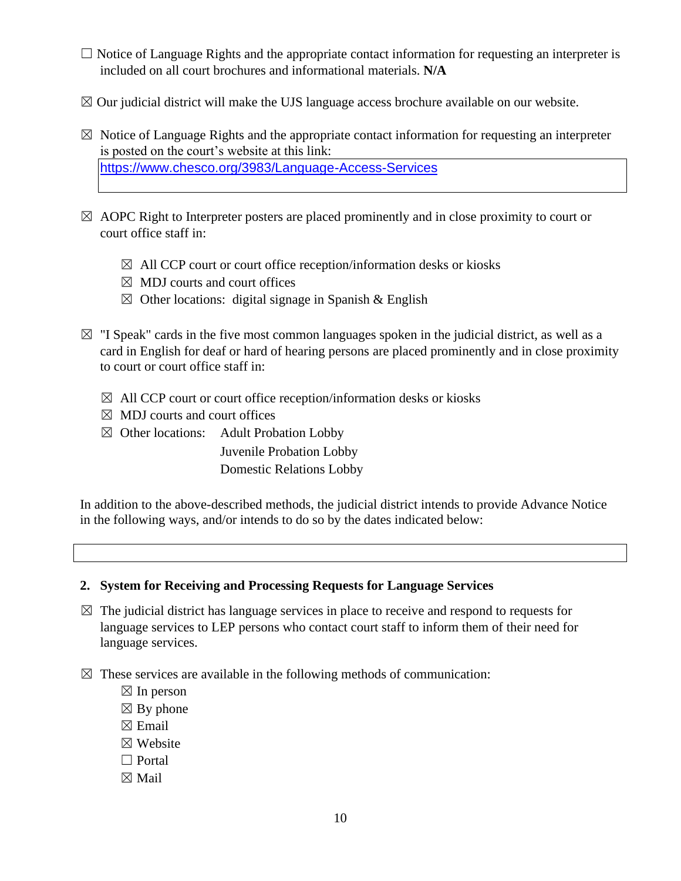- $\Box$  Notice of Language Rights and the appropriate contact information for requesting an interpreter is included on all court brochures and informational materials. **N/A**
- $\boxtimes$  Our judicial district will make the UJS language access brochure available on our website.
- $\boxtimes$  Notice of Language Rights and the appropriate contact information for requesting an interpreter is posted on the court's website at this link: <https://www.chesco.org/3983/Language-Access-Services>
- $\boxtimes$  AOPC Right to Interpreter posters are placed prominently and in close proximity to court or court office staff in:
	- $\boxtimes$  All CCP court or court office reception/information desks or kiosks
	- $\boxtimes$  MDJ courts and court offices
	- $\boxtimes$  Other locations: digital signage in Spanish & English
- $\boxtimes$  "I Speak" cards in the five most common languages spoken in the judicial district, as well as a card in English for deaf or hard of hearing persons are placed prominently and in close proximity to court or court office staff in:
	- $\boxtimes$  All CCP court or court office reception/information desks or kiosks
	- $\boxtimes$  MDJ courts and court offices
	- $\boxtimes$  Other locations: Adult Probation Lobby

Juvenile Probation Lobby Domestic Relations Lobby

In addition to the above-described methods, the judicial district intends to provide Advance Notice in the following ways, and/or intends to do so by the dates indicated below:

#### **2. System for Receiving and Processing Requests for Language Services**

- $\boxtimes$  The judicial district has language services in place to receive and respond to requests for language services to LEP persons who contact court staff to inform them of their need for language services.
- $\boxtimes$  These services are available in the following methods of communication:
	- $\boxtimes$  In person
	- $\boxtimes$  By phone
	- $\boxtimes$  Email
	- ☒ Website
	- $\Box$  Portal
	- ☒ Mail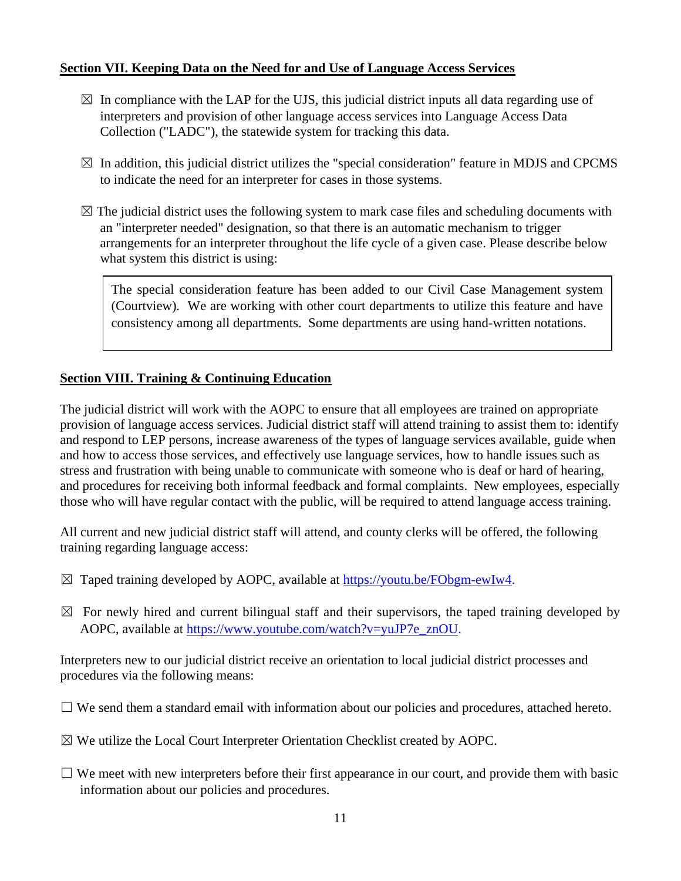## **Section VII. Keeping Data on the Need for and Use of Language Access Services**

- $\boxtimes$  In compliance with the LAP for the UJS, this judicial district inputs all data regarding use of interpreters and provision of other language access services into Language Access Data Collection ("LADC"), the statewide system for tracking this data.
- $\boxtimes$  In addition, this judicial district utilizes the "special consideration" feature in MDJS and CPCMS to indicate the need for an interpreter for cases in those systems.
- $\boxtimes$  The judicial district uses the following system to mark case files and scheduling documents with an "interpreter needed" designation, so that there is an automatic mechanism to trigger arrangements for an interpreter throughout the life cycle of a given case. Please describe below what system this district is using:

The special consideration feature has been added to our Civil Case Management system (Courtview). We are working with other court departments to utilize this feature and have consistency among all departments. Some departments are using hand-written notations.

# **Section VIII. Training & Continuing Education**

The judicial district will work with the AOPC to ensure that all employees are trained on appropriate provision of language access services. Judicial district staff will attend training to assist them to: identify and respond to LEP persons, increase awareness of the types of language services available, guide when and how to access those services, and effectively use language services, how to handle issues such as stress and frustration with being unable to communicate with someone who is deaf or hard of hearing, and procedures for receiving both informal feedback and formal complaints. New employees, especially those who will have regular contact with the public, will be required to attend language access training.

All current and new judicial district staff will attend, and county clerks will be offered, the following training regarding language access:

- $\boxtimes$  Taped training developed by AOPC, available at [https://youtu.be/FObgm-ewIw4.](https://youtu.be/FObgm-ewIw4)
- $\boxtimes$  For newly hired and current bilingual staff and their supervisors, the taped training developed by AOPC, available at [https://www.youtube.com/watch?v=yuJP7e\\_znOU.](https://www.youtube.com/watch?v=yuJP7e_znOU)

Interpreters new to our judicial district receive an orientation to local judicial district processes and procedures via the following means:

- $\Box$  We send them a standard email with information about our policies and procedures, attached hereto.
- $\boxtimes$  We utilize the Local Court Interpreter Orientation Checklist created by AOPC.
- $\Box$  We meet with new interpreters before their first appearance in our court, and provide them with basic information about our policies and procedures.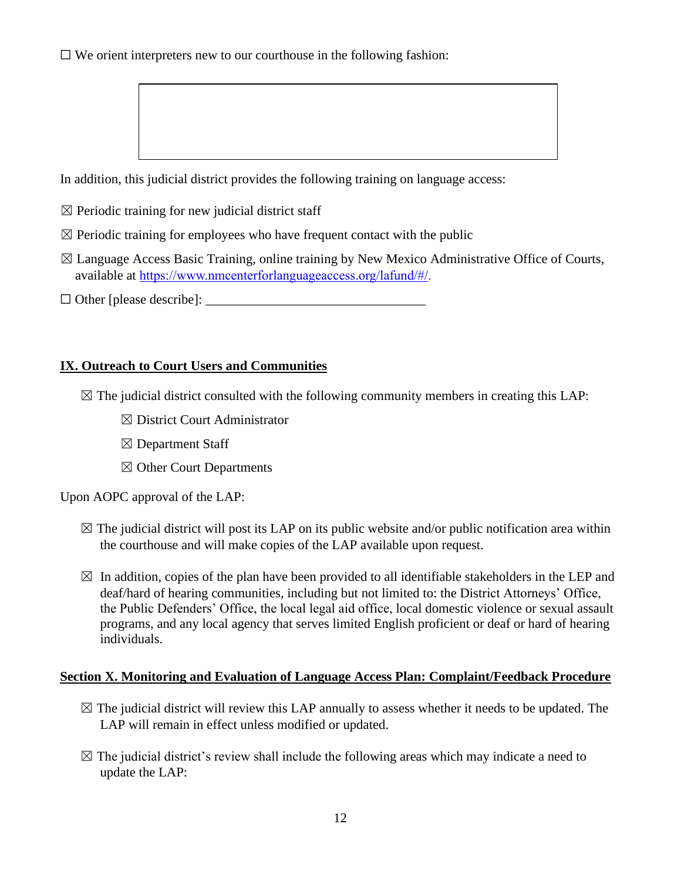$\Box$  We orient interpreters new to our courthouse in the following fashion:

In addition, this judicial district provides the following training on language access:

- $\boxtimes$  Periodic training for new judicial district staff
- $\boxtimes$  Periodic training for employees who have frequent contact with the public
- $\boxtimes$  Language Access Basic Training, online training by New Mexico Administrative Office of Courts, available at [https://www.nmcenterforlanguageaccess.org/lafund/#/.](https://www.nmcenterforlanguageaccess.org/lafund/)
- $\Box$  Other [please describe]:

### **IX. Outreach to Court Users and Communities**

- $\boxtimes$  The judicial district consulted with the following community members in creating this LAP:
	- ☒ District Court Administrator
	- $\boxtimes$  Department Staff
	- ☒ Other Court Departments

Upon AOPC approval of the LAP:

- $\boxtimes$  The judicial district will post its LAP on its public website and/or public notification area within the courthouse and will make copies of the LAP available upon request.
- $\boxtimes$  In addition, copies of the plan have been provided to all identifiable stakeholders in the LEP and deaf/hard of hearing communities, including but not limited to: the District Attorneys' Office, the Public Defenders' Office, the local legal aid office, local domestic violence or sexual assault programs, and any local agency that serves limited English proficient or deaf or hard of hearing individuals.

### **Section X. Monitoring and Evaluation of Language Access Plan: Complaint/Feedback Procedure**

- $\boxtimes$  The judicial district will review this LAP annually to assess whether it needs to be updated. The LAP will remain in effect unless modified or updated.
- $\boxtimes$  The judicial district's review shall include the following areas which may indicate a need to update the LAP: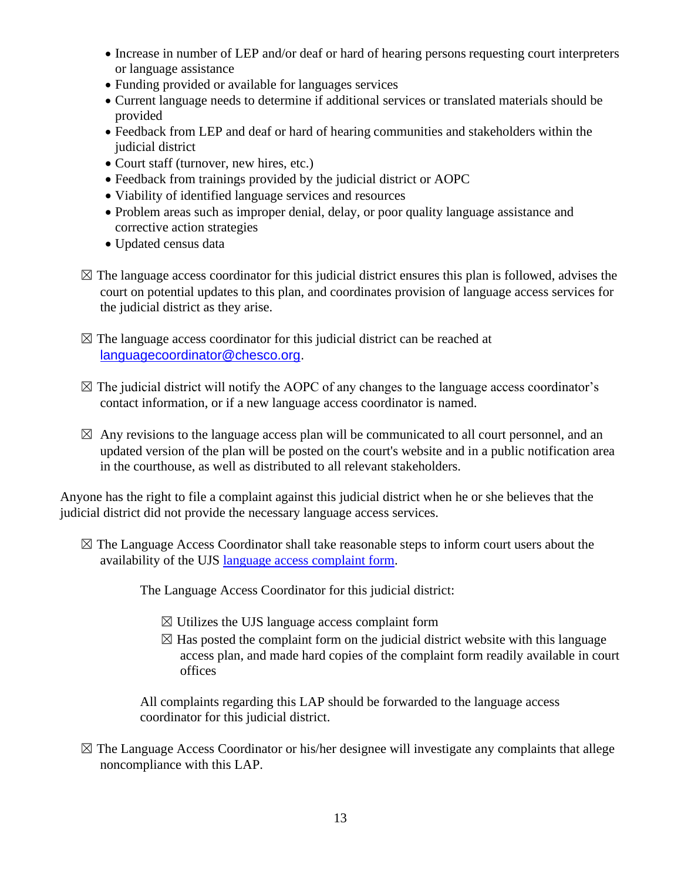- Increase in number of LEP and/or deaf or hard of hearing persons requesting court interpreters or language assistance
- Funding provided or available for languages services
- Current language needs to determine if additional services or translated materials should be provided
- Feedback from LEP and deaf or hard of hearing communities and stakeholders within the judicial district
- Court staff (turnover, new hires, etc.)
- Feedback from trainings provided by the judicial district or AOPC
- Viability of identified language services and resources
- Problem areas such as improper denial, delay, or poor quality language assistance and corrective action strategies
- Updated census data
- $\boxtimes$  The language access coordinator for this judicial district ensures this plan is followed, advises the court on potential updates to this plan, and coordinates provision of language access services for the judicial district as they arise.
- $\boxtimes$  The language access coordinator for this judicial district can be reached at [languagecoordinator@chesco.org.](mailto:languagecoordinator@chesco.org)
- $\boxtimes$  The judicial district will notify the AOPC of any changes to the language access coordinator's contact information, or if a new language access coordinator is named.
- $\boxtimes$  Any revisions to the language access plan will be communicated to all court personnel, and an updated version of the plan will be posted on the court's website and in a public notification area in the courthouse, as well as distributed to all relevant stakeholders.

Anyone has the right to file a complaint against this judicial district when he or she believes that the judicial district did not provide the necessary language access services.

 $\boxtimes$  The Language Access Coordinator shall take reasonable steps to inform court users about the availability of the UJS [language access complaint form.](https://wwwsecure.pacourts.us/assets/files/setting-6453/file-7497.pdf?cb=a60c80)

The Language Access Coordinator for this judicial district:

- $\boxtimes$  Utilizes the UJS language access [complaint form](http://www.pacourts.us/assets/files/setting-6453/file-7497.pdf?cb=a60c80)
- $\boxtimes$  Has posted the complaint form on the judicial district website with this language access plan, and made hard copies of the complaint form readily available in court offices

All complaints regarding this LAP should be forwarded to the language access coordinator for this judicial district.

 $\boxtimes$  The Language Access Coordinator or his/her designee will investigate any complaints that allege noncompliance with this LAP.